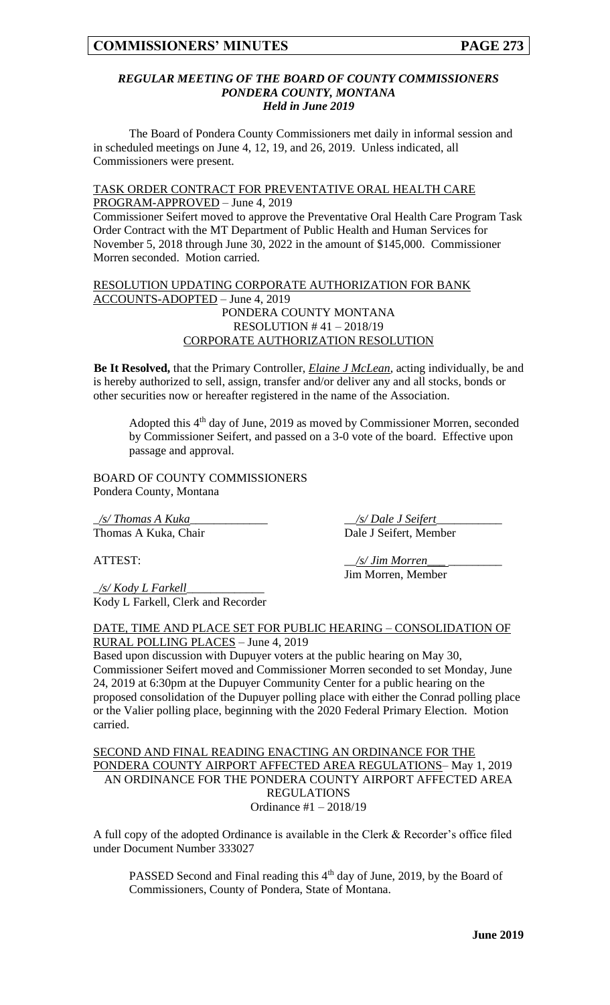### *REGULAR MEETING OF THE BOARD OF COUNTY COMMISSIONERS PONDERA COUNTY, MONTANA Held in June 2019*

The Board of Pondera County Commissioners met daily in informal session and in scheduled meetings on June 4, 12, 19, and 26, 2019. Unless indicated, all Commissioners were present.

#### TASK ORDER CONTRACT FOR PREVENTATIVE ORAL HEALTH CARE PROGRAM-APPROVED – June 4, 2019

Commissioner Seifert moved to approve the Preventative Oral Health Care Program Task Order Contract with the MT Department of Public Health and Human Services for November 5, 2018 through June 30, 2022 in the amount of \$145,000. Commissioner Morren seconded. Motion carried.

## RESOLUTION UPDATING CORPORATE AUTHORIZATION FOR BANK ACCOUNTS-ADOPTED – June 4, 2019 PONDERA COUNTY MONTANA RESOLUTION # 41 – 2018/19 CORPORATE AUTHORIZATION RESOLUTION

**Be It Resolved,** that the Primary Controller, *Elaine J McLean*, acting individually, be and is hereby authorized to sell, assign, transfer and/or deliver any and all stocks, bonds or other securities now or hereafter registered in the name of the Association.

Adopted this 4<sup>th</sup> day of June, 2019 as moved by Commissioner Morren, seconded by Commissioner Seifert, and passed on a 3-0 vote of the board. Effective upon passage and approval.

BOARD OF COUNTY COMMISSIONERS Pondera County, Montana

\_*/s/ Thomas A Kuka*\_\_\_\_\_\_\_\_\_\_\_\_\_ \_\_*/s/ Dale J Seifert*\_\_\_\_\_\_\_\_\_\_\_ Thomas A Kuka, Chair Dale J Seifert, Member

\_*/s/ Kody L Farkell*\_\_\_\_\_\_\_\_\_\_\_\_\_ Kody L Farkell, Clerk and Recorder

ATTEST:  $\frac{s}{\sqrt{s}}$  *Jim Morren* Jim Morren, Member

DATE, TIME AND PLACE SET FOR PUBLIC HEARING – CONSOLIDATION OF RURAL POLLING PLACES – June 4, 2019

Based upon discussion with Dupuyer voters at the public hearing on May 30, Commissioner Seifert moved and Commissioner Morren seconded to set Monday, June 24, 2019 at 6:30pm at the Dupuyer Community Center for a public hearing on the proposed consolidation of the Dupuyer polling place with either the Conrad polling place or the Valier polling place, beginning with the 2020 Federal Primary Election. Motion carried.

## SECOND AND FINAL READING ENACTING AN ORDINANCE FOR THE PONDERA COUNTY AIRPORT AFFECTED AREA REGULATIONS– May 1, 2019 AN ORDINANCE FOR THE PONDERA COUNTY AIRPORT AFFECTED AREA REGULATIONS Ordinance #1 – 2018/19

A full copy of the adopted Ordinance is available in the Clerk & Recorder's office filed under Document Number 333027

PASSED Second and Final reading this 4<sup>th</sup> day of June, 2019, by the Board of Commissioners, County of Pondera, State of Montana.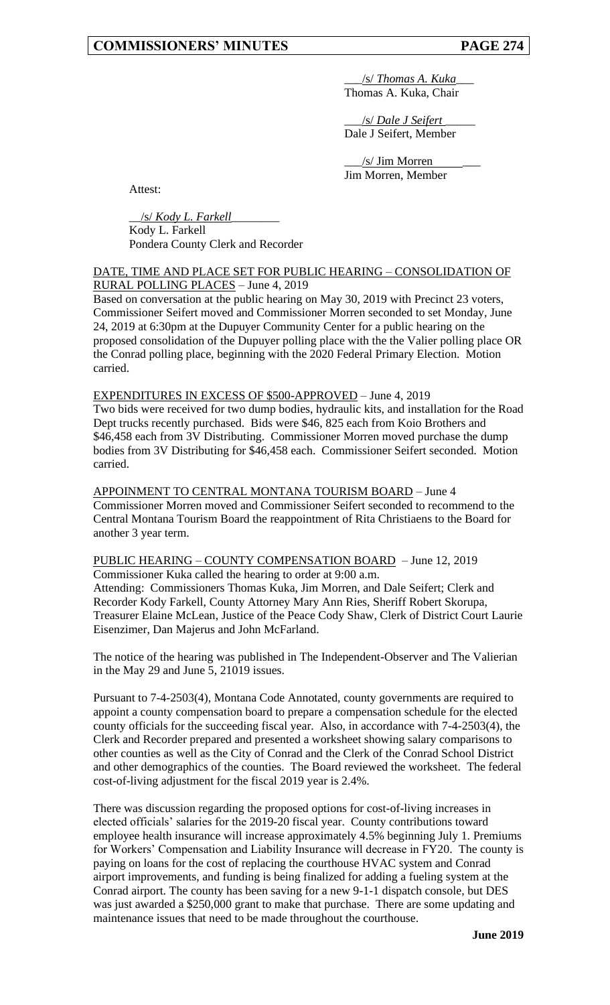\_\_\_/s/ *Thomas A. Kuka*\_\_\_ Thomas A. Kuka, Chair

\_\_\_/s/ *Dale J Seifert* \_\_\_\_\_ Dale J Seifert, Member

\_\_\_/s/ Jim Morren \_\_\_ Jim Morren, Member

Attest:

\_\_/s/ *Kody L. Farkell*\_\_\_\_\_\_\_\_ Kody L. Farkell

Pondera County Clerk and Recorder

## DATE, TIME AND PLACE SET FOR PUBLIC HEARING – CONSOLIDATION OF RURAL POLLING PLACES – June 4, 2019

Based on conversation at the public hearing on May 30, 2019 with Precinct 23 voters, Commissioner Seifert moved and Commissioner Morren seconded to set Monday, June 24, 2019 at 6:30pm at the Dupuyer Community Center for a public hearing on the proposed consolidation of the Dupuyer polling place with the the Valier polling place OR the Conrad polling place, beginning with the 2020 Federal Primary Election. Motion carried.

EXPENDITURES IN EXCESS OF \$500-APPROVED – June 4, 2019

Two bids were received for two dump bodies, hydraulic kits, and installation for the Road Dept trucks recently purchased. Bids were \$46, 825 each from Koio Brothers and \$46,458 each from 3V Distributing. Commissioner Morren moved purchase the dump bodies from 3V Distributing for \$46,458 each. Commissioner Seifert seconded. Motion carried.

APPOINMENT TO CENTRAL MONTANA TOURISM BOARD – June 4 Commissioner Morren moved and Commissioner Seifert seconded to recommend to the Central Montana Tourism Board the reappointment of Rita Christiaens to the Board for another 3 year term.

## PUBLIC HEARING – COUNTY COMPENSATION BOARD – June 12, 2019 Commissioner Kuka called the hearing to order at 9:00 a.m. Attending: Commissioners Thomas Kuka, Jim Morren, and Dale Seifert; Clerk and Recorder Kody Farkell, County Attorney Mary Ann Ries, Sheriff Robert Skorupa, Treasurer Elaine McLean, Justice of the Peace Cody Shaw, Clerk of District Court Laurie Eisenzimer, Dan Majerus and John McFarland.

The notice of the hearing was published in The Independent-Observer and The Valierian in the May 29 and June 5, 21019 issues.

Pursuant to 7-4-2503(4), Montana Code Annotated, county governments are required to appoint a county compensation board to prepare a compensation schedule for the elected county officials for the succeeding fiscal year. Also, in accordance with 7-4-2503(4), the Clerk and Recorder prepared and presented a worksheet showing salary comparisons to other counties as well as the City of Conrad and the Clerk of the Conrad School District and other demographics of the counties. The Board reviewed the worksheet. The federal cost-of-living adjustment for the fiscal 2019 year is 2.4%.

There was discussion regarding the proposed options for cost-of-living increases in elected officials' salaries for the 2019-20 fiscal year. County contributions toward employee health insurance will increase approximately 4.5% beginning July 1. Premiums for Workers' Compensation and Liability Insurance will decrease in FY20. The county is paying on loans for the cost of replacing the courthouse HVAC system and Conrad airport improvements, and funding is being finalized for adding a fueling system at the Conrad airport. The county has been saving for a new 9-1-1 dispatch console, but DES was just awarded a \$250,000 grant to make that purchase. There are some updating and maintenance issues that need to be made throughout the courthouse.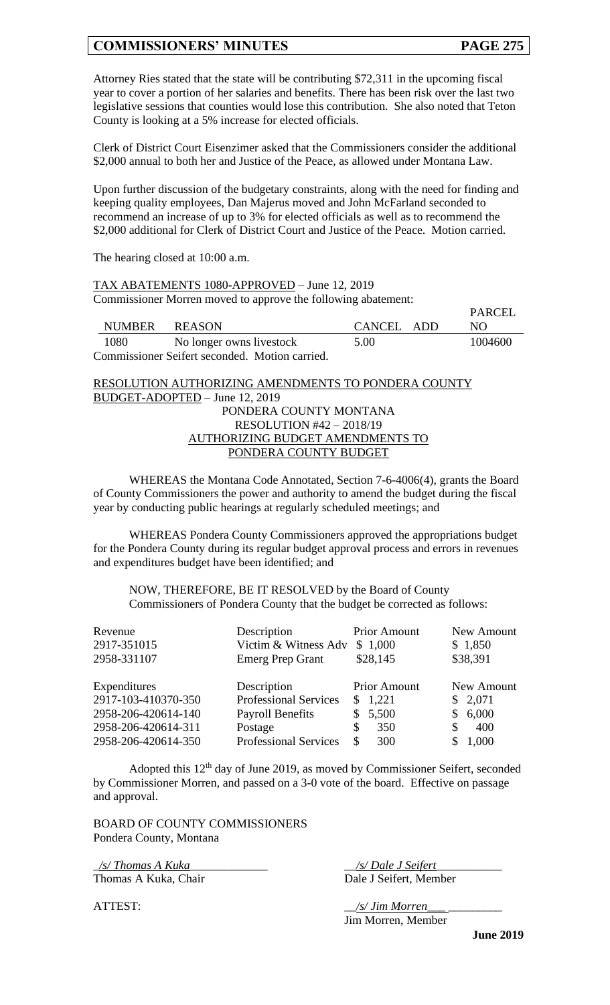$\overline{P}$ ADCEL

Attorney Ries stated that the state will be contributing \$72,311 in the upcoming fiscal year to cover a portion of her salaries and benefits. There has been risk over the last two legislative sessions that counties would lose this contribution. She also noted that Teton County is looking at a 5% increase for elected officials.

Clerk of District Court Eisenzimer asked that the Commissioners consider the additional \$2,000 annual to both her and Justice of the Peace, as allowed under Montana Law.

Upon further discussion of the budgetary constraints, along with the need for finding and keeping quality employees, Dan Majerus moved and John McFarland seconded to recommend an increase of up to 3% for elected officials as well as to recommend the \$2,000 additional for Clerk of District Court and Justice of the Peace. Motion carried.

The hearing closed at 10:00 a.m.

TAX ABATEMENTS 1080-APPROVED – June 12, 2019 Commissioner Morren moved to approve the following abatement:

|               |                                                |            | PARUEL  |
|---------------|------------------------------------------------|------------|---------|
| NUMBER REASON |                                                | CANCEL ADD | NO.     |
| 1080          | No longer owns livestock                       | 5.00       | 1004600 |
|               | Commissioner Seifert seconded. Motion carried. |            |         |

RESOLUTION AUTHORIZING AMENDMENTS TO PONDERA COUNTY BUDGET-ADOPTED – June 12, 2019 PONDERA COUNTY MONTANA RESOLUTION #42 – 2018/19 AUTHORIZING BUDGET AMENDMENTS TO PONDERA COUNTY BUDGET

WHEREAS the Montana Code Annotated, Section 7-6-4006(4), grants the Board of County Commissioners the power and authority to amend the budget during the fiscal year by conducting public hearings at regularly scheduled meetings; and

WHEREAS Pondera County Commissioners approved the appropriations budget for the Pondera County during its regular budget approval process and errors in revenues and expenditures budget have been identified; and

NOW, THEREFORE, BE IT RESOLVED by the Board of County Commissioners of Pondera County that the budget be corrected as follows:

| Revenue<br>2917-351015<br>2958-331107      | Description<br>Victim & Witness Adv<br><b>Emerg Prep Grant</b> | <b>Prior Amount</b><br>\$1,000<br>\$28,145 | New Amount<br>\$1,850<br>\$38,391 |
|--------------------------------------------|----------------------------------------------------------------|--------------------------------------------|-----------------------------------|
| Expenditures                               | Description                                                    | <b>Prior Amount</b>                        | New Amount                        |
| 2917-103-410370-350                        | <b>Professional Services</b>                                   | 1,221<br>S.                                | \$2,071                           |
| 2958-206-420614-140                        | <b>Payroll Benefits</b>                                        | 5,500                                      | 6,000                             |
| 2958-206-420614-311<br>2958-206-420614-350 | Postage<br><b>Professional Services</b>                        | 350<br>\$<br>\$<br>300                     | 400<br>S.<br>1,000                |

Adopted this 12<sup>th</sup> day of June 2019, as moved by Commissioner Seifert, seconded by Commissioner Morren, and passed on a 3-0 vote of the board. Effective on passage and approval.

BOARD OF COUNTY COMMISSIONERS Pondera County, Montana

\_*/s/ Thomas A Kuka*\_\_\_\_\_\_\_\_\_\_\_\_\_ \_\_*/s/ Dale J Seifert*\_\_\_\_\_\_\_\_\_\_\_ Thomas A Kuka, Chair Dale J Seifert, Member

ATTEST:  $\frac{1}{s'}$  *Jim Morren\_* 

Jim Morren, Member

**June 2019**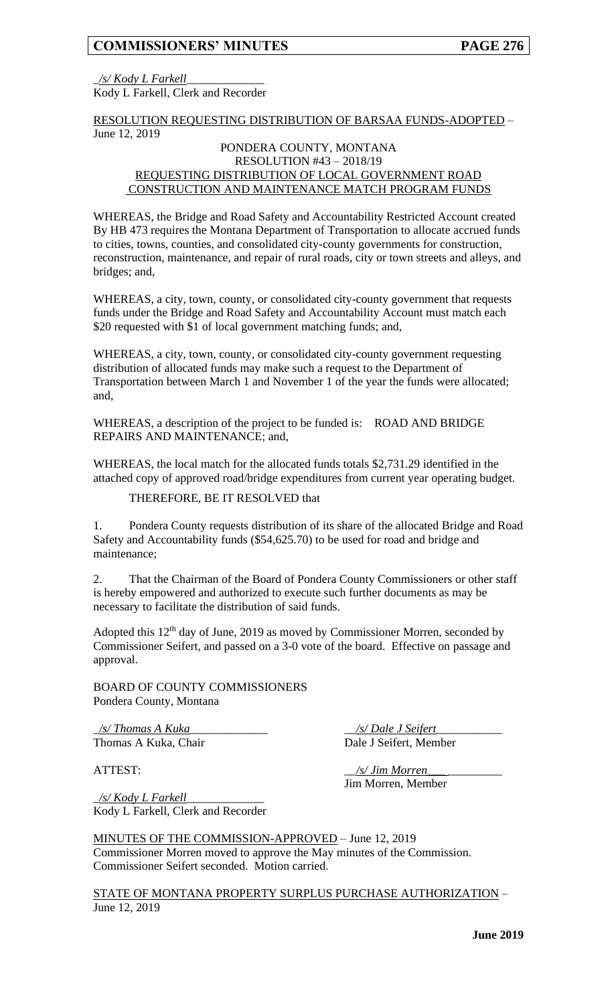\_*/s/ Kody L Farkell*\_\_\_\_\_\_\_\_\_\_\_\_\_ Kody L Farkell, Clerk and Recorder

RESOLUTION REQUESTING DISTRIBUTION OF BARSAA FUNDS-ADOPTED – June 12, 2019

## PONDERA COUNTY, MONTANA RESOLUTION #43 – 2018/19 REQUESTING DISTRIBUTION OF LOCAL GOVERNMENT ROAD CONSTRUCTION AND MAINTENANCE MATCH PROGRAM FUNDS

WHEREAS, the Bridge and Road Safety and Accountability Restricted Account created By HB 473 requires the Montana Department of Transportation to allocate accrued funds to cities, towns, counties, and consolidated city-county governments for construction, reconstruction, maintenance, and repair of rural roads, city or town streets and alleys, and bridges; and,

WHEREAS, a city, town, county, or consolidated city-county government that requests funds under the Bridge and Road Safety and Accountability Account must match each \$20 requested with \$1 of local government matching funds; and,

WHEREAS, a city, town, county, or consolidated city-county government requesting distribution of allocated funds may make such a request to the Department of Transportation between March 1 and November 1 of the year the funds were allocated; and,

WHEREAS, a description of the project to be funded is: ROAD AND BRIDGE REPAIRS AND MAINTENANCE; and,

WHEREAS, the local match for the allocated funds totals \$2,731.29 identified in the attached copy of approved road/bridge expenditures from current year operating budget.

## THEREFORE, BE IT RESOLVED that

1. Pondera County requests distribution of its share of the allocated Bridge and Road Safety and Accountability funds (\$54,625.70) to be used for road and bridge and maintenance;

2. That the Chairman of the Board of Pondera County Commissioners or other staff is hereby empowered and authorized to execute such further documents as may be necessary to facilitate the distribution of said funds.

Adopted this  $12<sup>th</sup>$  day of June, 2019 as moved by Commissioner Morren, seconded by Commissioner Seifert, and passed on a 3-0 vote of the board. Effective on passage and approval.

BOARD OF COUNTY COMMISSIONERS Pondera County, Montana

\_*/s/ Thomas A Kuka*\_\_\_\_\_\_\_\_\_\_\_\_\_ \_\_*/s/ Dale J Seifert*\_\_\_\_\_\_\_\_\_\_\_

Thomas A Kuka, Chair Dale J Seifert, Member

ATTEST:  $\frac{1}{s'}$  */s/ Jim Morren\_* Jim Morren, Member

\_*/s/ Kody L Farkell*\_\_\_\_\_\_\_\_\_\_\_\_\_ Kody L Farkell, Clerk and Recorder

MINUTES OF THE COMMISSION-APPROVED – June 12, 2019 Commissioner Morren moved to approve the May minutes of the Commission. Commissioner Seifert seconded. Motion carried.

STATE OF MONTANA PROPERTY SURPLUS PURCHASE AUTHORIZATION – June 12, 2019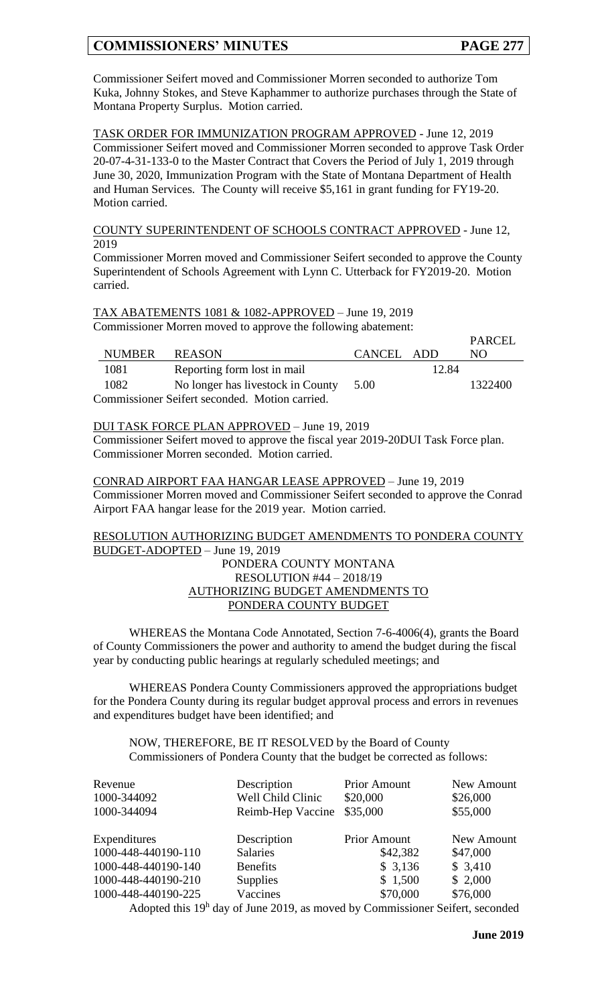$PAPCT$ 

Commissioner Seifert moved and Commissioner Morren seconded to authorize Tom Kuka, Johnny Stokes, and Steve Kaphammer to authorize purchases through the State of Montana Property Surplus. Motion carried.

TASK ORDER FOR IMMUNIZATION PROGRAM APPROVED - June 12, 2019 Commissioner Seifert moved and Commissioner Morren seconded to approve Task Order 20-07-4-31-133-0 to the Master Contract that Covers the Period of July 1, 2019 through June 30, 2020, Immunization Program with the State of Montana Department of Health and Human Services. The County will receive \$5,161 in grant funding for FY19-20. Motion carried.

COUNTY SUPERINTENDENT OF SCHOOLS CONTRACT APPROVED - June 12, 2019

Commissioner Morren moved and Commissioner Seifert seconded to approve the County Superintendent of Schools Agreement with Lynn C. Utterback for FY2019-20. Motion carried.

TAX ABATEMENTS 1081 & 1082-APPROVED – June 19, 2019 Commissioner Morren moved to approve the following abatement:

|                                                |        |                                   |            |       | PARCEL  |
|------------------------------------------------|--------|-----------------------------------|------------|-------|---------|
|                                                | NUMBER | <b>REASON</b>                     | CANCEL ADD |       | NO.     |
|                                                | 1081   | Reporting form lost in mail       |            | 12.84 |         |
|                                                | 1082   | No longer has livestock in County | 5.00       |       | 1322400 |
| Commissioner Seifert seconded. Motion carried. |        |                                   |            |       |         |

DUI TASK FORCE PLAN APPROVED – June 19, 2019

Commissioner Seifert moved to approve the fiscal year 2019-20DUI Task Force plan. Commissioner Morren seconded. Motion carried.

CONRAD AIRPORT FAA HANGAR LEASE APPROVED – June 19, 2019 Commissioner Morren moved and Commissioner Seifert seconded to approve the Conrad Airport FAA hangar lease for the 2019 year. Motion carried.

RESOLUTION AUTHORIZING BUDGET AMENDMENTS TO PONDERA COUNTY BUDGET-ADOPTED – June 19, 2019

## PONDERA COUNTY MONTANA RESOLUTION #44 – 2018/19 AUTHORIZING BUDGET AMENDMENTS TO PONDERA COUNTY BUDGET

WHEREAS the Montana Code Annotated, Section 7-6-4006(4), grants the Board of County Commissioners the power and authority to amend the budget during the fiscal year by conducting public hearings at regularly scheduled meetings; and

WHEREAS Pondera County Commissioners approved the appropriations budget for the Pondera County during its regular budget approval process and errors in revenues and expenditures budget have been identified; and

NOW, THEREFORE, BE IT RESOLVED by the Board of County Commissioners of Pondera County that the budget be corrected as follows:

| Revenue<br>1000-344092<br>1000-344094 | Description<br>Well Child Clinic<br>Reimb-Hep Vaccine | <b>Prior Amount</b><br>\$20,000<br>\$35,000 | New Amount<br>\$26,000<br>\$55,000 |
|---------------------------------------|-------------------------------------------------------|---------------------------------------------|------------------------------------|
| Expenditures                          | Description                                           | <b>Prior Amount</b>                         | New Amount                         |
| 1000-448-440190-110                   | Salaries                                              | \$42,382                                    | \$47,000                           |
| 1000-448-440190-140                   | <b>Benefits</b>                                       | \$3,136                                     | \$3,410                            |
| 1000-448-440190-210                   | <b>Supplies</b>                                       | \$1,500                                     | \$2,000                            |
| 1000-448-440190-225                   | Vaccines                                              | \$70,000                                    | \$76,000                           |
| $\lambda + 1 = 1 + 1 + 1 + 1$         | $c_{\mathbf{I}}$ $\sim$ 0.10                          | $\mathbf{11}$ $\mathbf{1}$                  | $\sim$ $\sim$ $\sim$               |

Adopted this 19<sup>h</sup> day of June 2019, as moved by Commissioner Seifert, seconded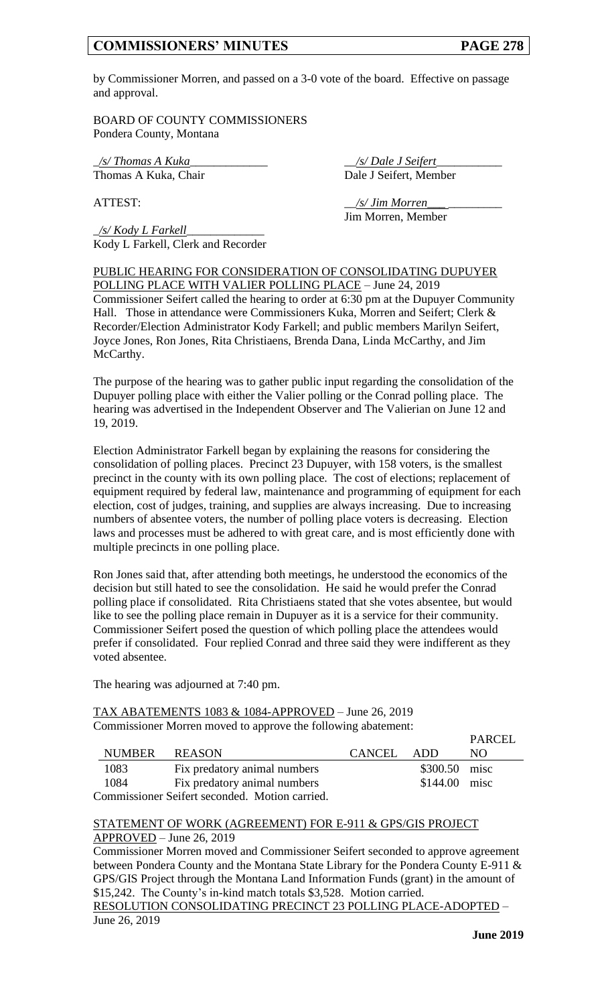by Commissioner Morren, and passed on a 3-0 vote of the board. Effective on passage and approval.

BOARD OF COUNTY COMMISSIONERS Pondera County, Montana

\_*/s/ Thomas A Kuka*\_\_\_\_\_\_\_\_\_\_\_\_\_ \_\_*/s/ Dale J Seifert*\_\_\_\_\_\_\_\_\_\_\_

Thomas A Kuka, Chair Dale J Seifert, Member

ATTEST:  $\frac{1}{s'}$  *Jim Morren* Jim Morren, Member

\_*/s/ Kody L Farkell*\_\_\_\_\_\_\_\_\_\_\_\_\_ Kody L Farkell, Clerk and Recorder

PUBLIC HEARING FOR CONSIDERATION OF CONSOLIDATING DUPUYER POLLING PLACE WITH VALIER POLLING PLACE – June 24, 2019 Commissioner Seifert called the hearing to order at 6:30 pm at the Dupuyer Community Hall. Those in attendance were Commissioners Kuka, Morren and Seifert; Clerk & Recorder/Election Administrator Kody Farkell; and public members Marilyn Seifert, Joyce Jones, Ron Jones, Rita Christiaens, Brenda Dana, Linda McCarthy, and Jim McCarthy.

The purpose of the hearing was to gather public input regarding the consolidation of the Dupuyer polling place with either the Valier polling or the Conrad polling place. The hearing was advertised in the Independent Observer and The Valierian on June 12 and 19, 2019.

Election Administrator Farkell began by explaining the reasons for considering the consolidation of polling places. Precinct 23 Dupuyer, with 158 voters, is the smallest precinct in the county with its own polling place. The cost of elections; replacement of equipment required by federal law, maintenance and programming of equipment for each election, cost of judges, training, and supplies are always increasing. Due to increasing numbers of absentee voters, the number of polling place voters is decreasing. Election laws and processes must be adhered to with great care, and is most efficiently done with multiple precincts in one polling place.

Ron Jones said that, after attending both meetings, he understood the economics of the decision but still hated to see the consolidation. He said he would prefer the Conrad polling place if consolidated. Rita Christiaens stated that she votes absentee, but would like to see the polling place remain in Dupuyer as it is a service for their community. Commissioner Seifert posed the question of which polling place the attendees would prefer if consolidated. Four replied Conrad and three said they were indifferent as they voted absentee.

The hearing was adjourned at 7:40 pm.

## TAX ABATEMENTS 1083 & 1084-APPROVED – June 26, 2019 Commissioner Morren moved to approve the following abatement:

|                                                |        |                              |         |                | PARCEL |
|------------------------------------------------|--------|------------------------------|---------|----------------|--------|
|                                                | NUMBER | REASON                       | CANCEL. | - ADD          | NO.    |
|                                                | 1083   | Fix predatory animal numbers |         | \$300.50 misc  |        |
|                                                | 1084   | Fix predatory animal numbers |         | $$144.00$ misc |        |
| Commissioner Seifert seconded. Motion carried. |        |                              |         |                |        |

### STATEMENT OF WORK (AGREEMENT) FOR E-911 & GPS/GIS PROJECT APPROVED – June 26, 2019

Commissioner Morren moved and Commissioner Seifert seconded to approve agreement between Pondera County and the Montana State Library for the Pondera County E-911 & GPS/GIS Project through the Montana Land Information Funds (grant) in the amount of \$15,242. The County's in-kind match totals \$3,528. Motion carried.

RESOLUTION CONSOLIDATING PRECINCT 23 POLLING PLACE-ADOPTED – June 26, 2019

 $PAPC$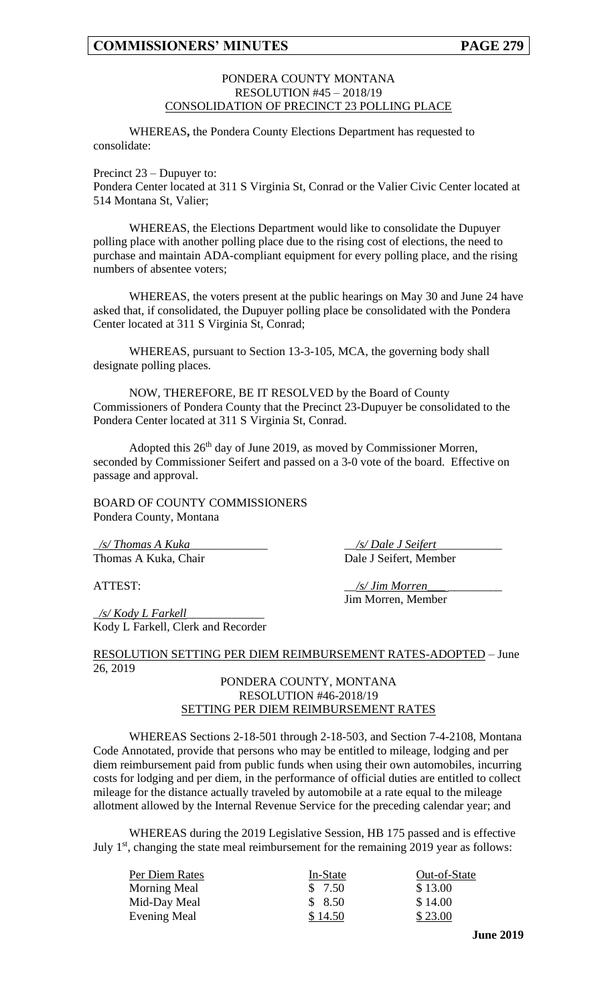### PONDERA COUNTY MONTANA RESOLUTION #45 – 2018/19 CONSOLIDATION OF PRECINCT 23 POLLING PLACE

WHEREAS**,** the Pondera County Elections Department has requested to consolidate:

Precinct 23 – Dupuyer to:

Pondera Center located at 311 S Virginia St, Conrad or the Valier Civic Center located at 514 Montana St, Valier;

WHEREAS, the Elections Department would like to consolidate the Dupuyer polling place with another polling place due to the rising cost of elections, the need to purchase and maintain ADA-compliant equipment for every polling place, and the rising numbers of absentee voters;

WHEREAS, the voters present at the public hearings on May 30 and June 24 have asked that, if consolidated, the Dupuyer polling place be consolidated with the Pondera Center located at 311 S Virginia St, Conrad;

WHEREAS, pursuant to Section 13-3-105, MCA, the governing body shall designate polling places.

NOW, THEREFORE, BE IT RESOLVED by the Board of County Commissioners of Pondera County that the Precinct 23-Dupuyer be consolidated to the Pondera Center located at 311 S Virginia St, Conrad.

Adopted this 26<sup>th</sup> day of June 2019, as moved by Commissioner Morren, seconded by Commissioner Seifert and passed on a 3-0 vote of the board. Effective on passage and approval.

BOARD OF COUNTY COMMISSIONERS Pondera County, Montana

\_*/s/ Thomas A Kuka*\_\_\_\_\_\_\_\_\_\_\_\_\_ \_\_*/s/ Dale J Seifert*\_\_\_\_\_\_\_\_\_\_\_ Thomas A Kuka, Chair Dale J Seifert, Member

\_*/s/ Kody L Farkell*\_\_\_\_\_\_\_\_\_\_\_\_\_ Kody L Farkell, Clerk and Recorder

ATTEST:  $\frac{1}{s}$  /s/ Jim Morren\_ Jim Morren, Member

RESOLUTION SETTING PER DIEM REIMBURSEMENT RATES-ADOPTED – June 26, 2019

## PONDERA COUNTY, MONTANA RESOLUTION #46-2018/19 SETTING PER DIEM REIMBURSEMENT RATES

WHEREAS Sections 2-18-501 through 2-18-503, and Section 7-4-2108, Montana Code Annotated, provide that persons who may be entitled to mileage, lodging and per diem reimbursement paid from public funds when using their own automobiles, incurring costs for lodging and per diem, in the performance of official duties are entitled to collect mileage for the distance actually traveled by automobile at a rate equal to the mileage allotment allowed by the Internal Revenue Service for the preceding calendar year; and

WHEREAS during the 2019 Legislative Session, HB 175 passed and is effective July  $1<sup>st</sup>$ , changing the state meal reimbursement for the remaining 2019 year as follows:

| Per Diem Rates | In-State | Out-of-State |
|----------------|----------|--------------|
| Morning Meal   | \$7.50   | \$13.00      |
| Mid-Day Meal   | \$8.50   | \$14.00      |
| Evening Meal   | \$14.50  | \$23.00      |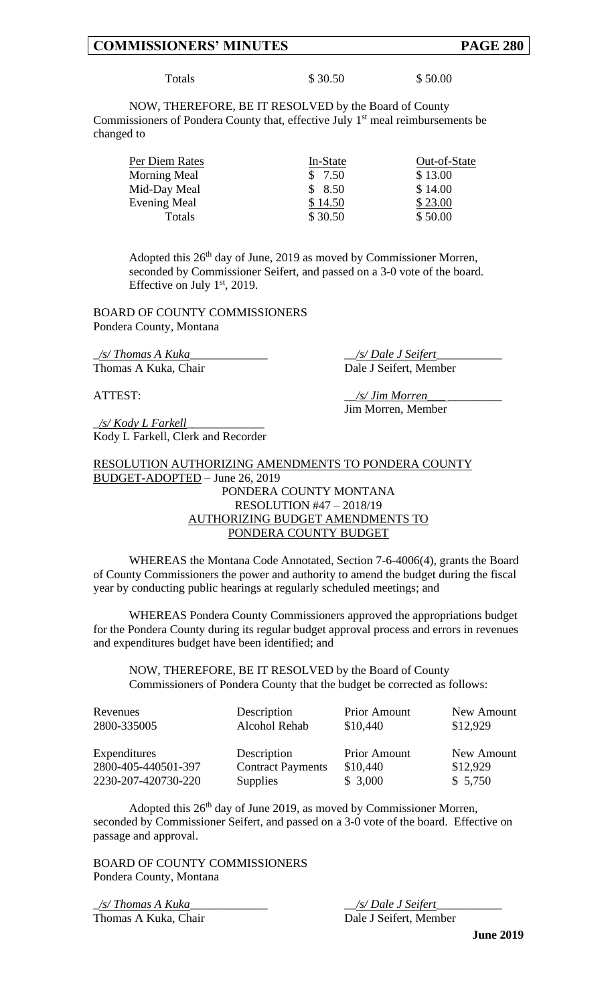Totals \$ 30.50 \$ 50.00

NOW, THEREFORE, BE IT RESOLVED by the Board of County Commissioners of Pondera County that, effective July  $1<sup>st</sup>$  meal reimbursements be changed to

| Per Diem Rates      | In-State | Out-of-State |
|---------------------|----------|--------------|
| Morning Meal        | \$7.50   | \$13.00      |
| Mid-Day Meal        | \$8.50   | \$14.00      |
| <b>Evening Meal</b> | \$14.50  | \$23.00      |
| Totals              | \$30.50  | \$50.00      |

Adopted this  $26<sup>th</sup>$  day of June, 2019 as moved by Commissioner Morren, seconded by Commissioner Seifert, and passed on a 3-0 vote of the board. Effective on July  $1<sup>st</sup>$ , 2019.

BOARD OF COUNTY COMMISSIONERS Pondera County, Montana

\_*/s/ Thomas A Kuka*\_\_\_\_\_\_\_\_\_\_\_\_\_ \_\_*/s/ Dale J Seifert*\_\_\_\_\_\_\_\_\_\_\_ Thomas A Kuka, Chair Dale J Seifert, Member

\_*/s/ Kody L Farkell*\_\_\_\_\_\_\_\_\_\_\_\_\_ Kody L Farkell, Clerk and Recorder

ATTEST:  $\frac{1}{s}$  /s/ Jim Morren Jim Morren, Member

## RESOLUTION AUTHORIZING AMENDMENTS TO PONDERA COUNTY BUDGET-ADOPTED – June 26, 2019 PONDERA COUNTY MONTANA RESOLUTION #47 – 2018/19 AUTHORIZING BUDGET AMENDMENTS TO PONDERA COUNTY BUDGET

WHEREAS the Montana Code Annotated, Section 7-6-4006(4), grants the Board of County Commissioners the power and authority to amend the budget during the fiscal year by conducting public hearings at regularly scheduled meetings; and

WHEREAS Pondera County Commissioners approved the appropriations budget for the Pondera County during its regular budget approval process and errors in revenues and expenditures budget have been identified; and

NOW, THEREFORE, BE IT RESOLVED by the Board of County Commissioners of Pondera County that the budget be corrected as follows:

| Revenues<br>2800-335005 | Description<br>Alcohol Rehab | <b>Prior Amount</b><br>\$10,440 | New Amount<br>\$12,929 |
|-------------------------|------------------------------|---------------------------------|------------------------|
| Expenditures            | Description                  | <b>Prior Amount</b>             | New Amount             |
| 2800-405-440501-397     | <b>Contract Payments</b>     | \$10,440                        | \$12,929               |
| 2230-207-420730-220     | <b>Supplies</b>              | \$3,000                         | \$5,750                |

Adopted this 26<sup>th</sup> day of June 2019, as moved by Commissioner Morren, seconded by Commissioner Seifert, and passed on a 3-0 vote of the board. Effective on passage and approval.

BOARD OF COUNTY COMMISSIONERS Pondera County, Montana

\_*/s/ Thomas A Kuka*\_\_\_\_\_\_\_\_\_\_\_\_\_ \_\_*/s/ Dale J Seifert*\_\_\_\_\_\_\_\_\_\_\_ Thomas A Kuka, Chair Dale J Seifert, Member